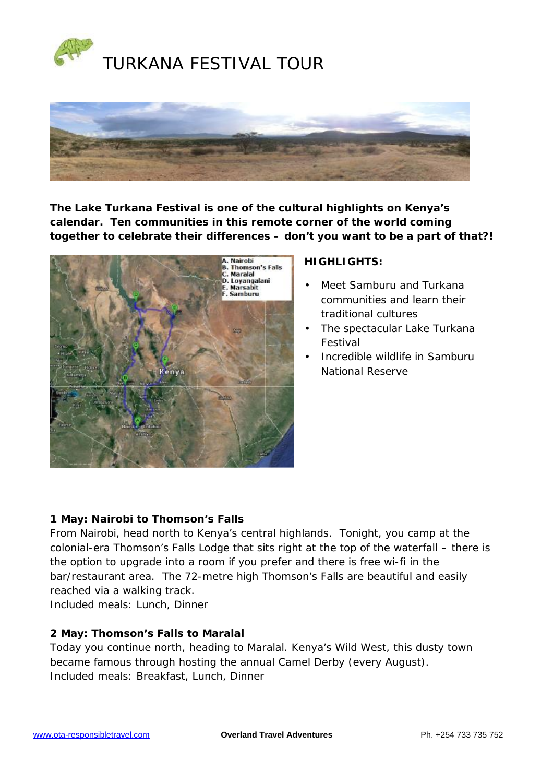



**The Lake Turkana Festival is one of the cultural highlights on Kenya's calendar. Ten communities in this remote corner of the world coming together to celebrate their differences – don't you want to be a part of that?!** 



# **HIGHLIGHTS:**

- Meet Samburu and Turkana communities and learn their traditional cultures
- The spectacular Lake Turkana Festival
- Incredible wildlife in Samburu National Reserve

# **1 May: Nairobi to Thomson's Falls**

From Nairobi, head north to Kenya's central highlands. Tonight, you camp at the colonial-era Thomson's Falls Lodge that sits right at the top of the waterfall – there is the option to upgrade into a room if you prefer and there is free wi-fi in the bar/restaurant area. The 72-metre high Thomson's Falls are beautiful and easily reached via a walking track.

Included meals: Lunch, Dinner

# **2 May: Thomson's Falls to Maralal**

Today you continue north, heading to Maralal. Kenya's Wild West, this dusty town became famous through hosting the annual Camel Derby (every August). Included meals: Breakfast, Lunch, Dinner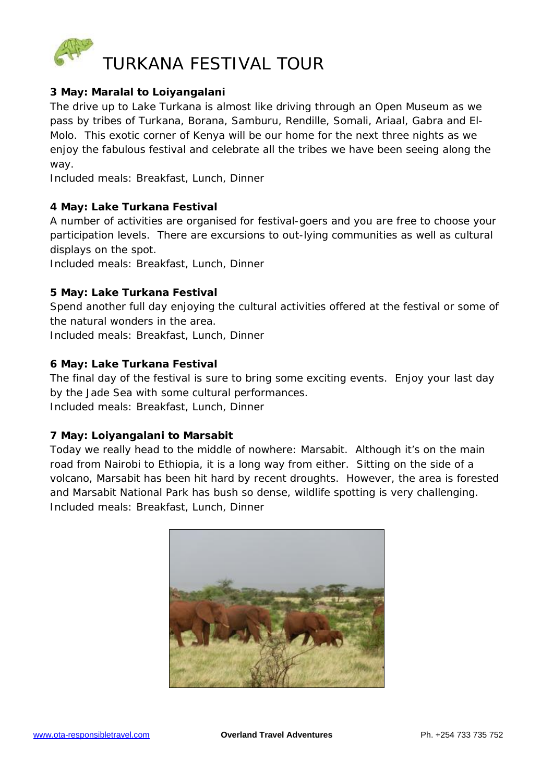

## **3 May: Maralal to Loiyangalani**

The drive up to Lake Turkana is almost like driving through an Open Museum as we pass by tribes of Turkana, Borana, Samburu, Rendille, Somali, Ariaal, Gabra and El-Molo. This exotic corner of Kenya will be our home for the next three nights as we enjoy the fabulous festival and celebrate all the tribes we have been seeing along the way.

Included meals: Breakfast, Lunch, Dinner

## **4 May: Lake Turkana Festival**

A number of activities are organised for festival-goers and you are free to choose your participation levels. There are excursions to out-lying communities as well as cultural displays on the spot.

Included meals: Breakfast, Lunch, Dinner

# **5 May: Lake Turkana Festival**

Spend another full day enjoying the cultural activities offered at the festival or some of the natural wonders in the area.

Included meals: Breakfast, Lunch, Dinner

# **6 May: Lake Turkana Festival**

The final day of the festival is sure to bring some exciting events. Enjoy your last day by the Jade Sea with some cultural performances. Included meals: Breakfast, Lunch, Dinner

# **7 May: Loiyangalani to Marsabit**

Today we really head to the middle of nowhere: Marsabit. Although it's on the main road from Nairobi to Ethiopia, it is a long way from either. Sitting on the side of a volcano, Marsabit has been hit hard by recent droughts. However, the area is forested and Marsabit National Park has bush so dense, wildlife spotting is very challenging. Included meals: Breakfast, Lunch, Dinner

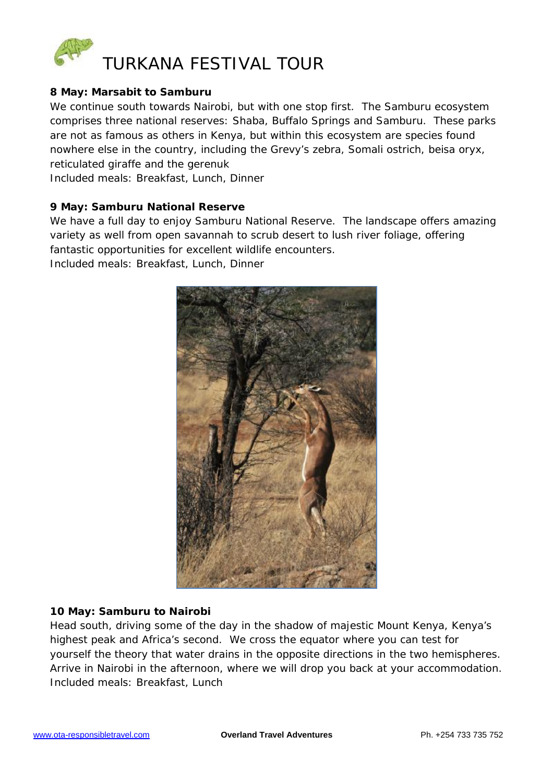

## **8 May: Marsabit to Samburu**

We continue south towards Nairobi, but with one stop first. The Samburu ecosystem comprises three national reserves: Shaba, Buffalo Springs and Samburu. These parks are not as famous as others in Kenya, but within this ecosystem are species found nowhere else in the country, including the Grevy's zebra, Somali ostrich, beisa oryx, reticulated giraffe and the gerenuk

Included meals: Breakfast, Lunch, Dinner

### **9 May: Samburu National Reserve**

We have a full day to enjoy Samburu National Reserve. The landscape offers amazing variety as well from open savannah to scrub desert to lush river foliage, offering fantastic opportunities for excellent wildlife encounters.

Included meals: Breakfast, Lunch, Dinner



#### **10 May: Samburu to Nairobi**

Head south, driving some of the day in the shadow of majestic Mount Kenya, Kenya's highest peak and Africa's second. We cross the equator where you can test for yourself the theory that water drains in the opposite directions in the two hemispheres. Arrive in Nairobi in the afternoon, where we will drop you back at your accommodation. Included meals: Breakfast, Lunch